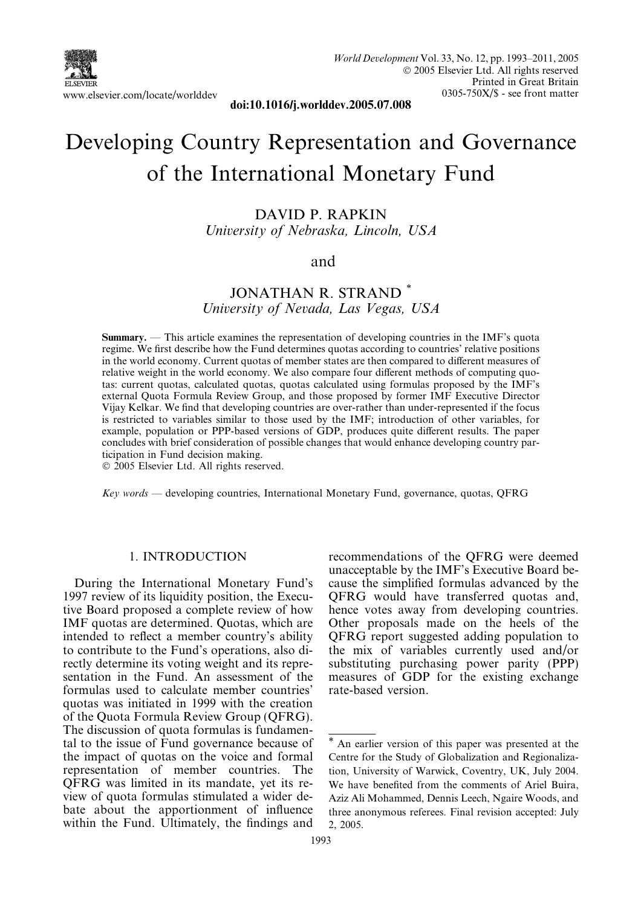

doi:10.1016/j.worlddev.2005.07.008

# Developing Country Representation and Governance of the International Monetary Fund

DAVID P. RAPKIN University of Nebraska, Lincoln, USA

#### and

### JONATHAN R. STRAND \* University of Nevada, Las Vegas, USA

Summary. — This article examines the representation of developing countries in the IMF's quota regime. We first describe how the Fund determines quotas according to countries' relative positions in the world economy. Current quotas of member states are then compared to different measures of relative weight in the world economy. We also compare four different methods of computing quotas: current quotas, calculated quotas, quotas calculated using formulas proposed by the IMF's external Quota Formula Review Group, and those proposed by former IMF Executive Director Vijay Kelkar. We find that developing countries are over-rather than under-represented if the focus is restricted to variables similar to those used by the IMF; introduction of other variables, for example, population or PPP-based versions of GDP, produces quite different results. The paper concludes with brief consideration of possible changes that would enhance developing country participation in Fund decision making.

 $\odot$  2005 Elsevier Ltd. All rights reserved.

Key words — developing countries, International Monetary Fund, governance, quotas, QFRG

#### 1. INTRODUCTION

During the International Monetary Fund's 1997 review of its liquidity position, the Executive Board proposed a complete review of how IMF quotas are determined. Quotas, which are intended to reflect a member country's ability to contribute to the Fund's operations, also directly determine its voting weight and its representation in the Fund. An assessment of the formulas used to calculate member countries' quotas was initiated in 1999 with the creation of the Quota Formula Review Group (QFRG). The discussion of quota formulas is fundamental to the issue of Fund governance because of the impact of quotas on the voice and formal representation of member countries. The QFRG was limited in its mandate, yet its review of quota formulas stimulated a wider debate about the apportionment of influence within the Fund. Ultimately, the findings and

recommendations of the QFRG were deemed unacceptable by the IMF's Executive Board because the simplified formulas advanced by the QFRG would have transferred quotas and, hence votes away from developing countries. Other proposals made on the heels of the QFRG report suggested adding population to the mix of variables currently used and/or substituting purchasing power parity (PPP) measures of GDP for the existing exchange rate-based version.

<sup>\*</sup> An earlier version of this paper was presented at the Centre for the Study of Globalization and Regionalization, University of Warwick, Coventry, UK, July 2004. We have benefited from the comments of Ariel Buira, Aziz Ali Mohammed, Dennis Leech, Ngaire Woods, and three anonymous referees. Final revision accepted: July 2, 2005.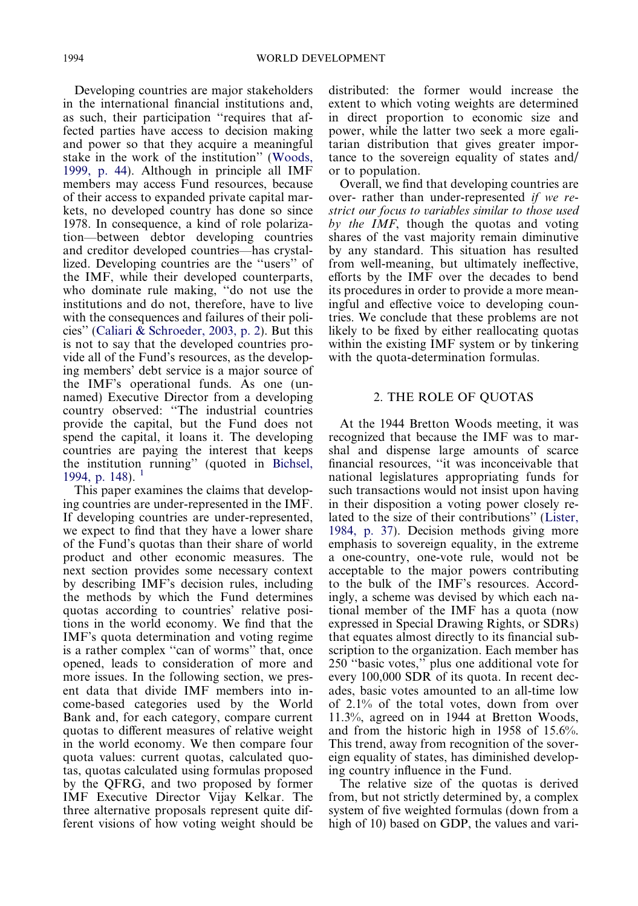Developing countries are major stakeholders in the international financial institutions and, as such, their participation ''requires that affected parties have access to decision making and power so that they acquire a meaningful stake in the work of the institution'' [\(Woods,](#page--1-0) [1999, p. 44](#page--1-0)). Although in principle all IMF members may access Fund resources, because of their access to expanded private capital markets, no developed country has done so since 1978. In consequence, a kind of role polarization—between debtor developing countries and creditor developed countries—has crystallized. Developing countries are the ''users'' of the IMF, while their developed counterparts, who dominate rule making, ''do not use the institutions and do not, therefore, have to live with the consequences and failures of their policies'' ([Caliari & Schroeder, 2003, p. 2](#page--1-0)). But this is not to say that the developed countries provide all of the Fund's resources, as the developing members' debt service is a major source of the IMF's operational funds. As one (unnamed) Executive Director from a developing country observed: ''The industrial countries provide the capital, but the Fund does not spend the capital, it loans it. The developing countries are paying the interest that keeps the institution running'' (quoted in [Bichsel,](#page--1-0) [1994, p. 148\)](#page--1-0). <sup>1</sup>

This paper examines the claims that developing countries are under-represented in the IMF. If developing countries are under-represented, we expect to find that they have a lower share of the Fund's quotas than their share of world product and other economic measures. The next section provides some necessary context by describing IMF's decision rules, including the methods by which the Fund determines quotas according to countries' relative positions in the world economy. We find that the IMF's quota determination and voting regime is a rather complex ''can of worms'' that, once opened, leads to consideration of more and more issues. In the following section, we present data that divide IMF members into income-based categories used by the World Bank and, for each category, compare current quotas to different measures of relative weight in the world economy. We then compare four quota values: current quotas, calculated quotas, quotas calculated using formulas proposed by the QFRG, and two proposed by former IMF Executive Director Vijay Kelkar. The three alternative proposals represent quite different visions of how voting weight should be

distributed: the former would increase the extent to which voting weights are determined in direct proportion to economic size and power, while the latter two seek a more egalitarian distribution that gives greater importance to the sovereign equality of states and/ or to population.

Overall, we find that developing countries are over- rather than under-represented if we restrict our focus to variables similar to those used by the  $IMF$ , though the quotas and voting shares of the vast majority remain diminutive by any standard. This situation has resulted from well-meaning, but ultimately ineffective, efforts by the IMF over the decades to bend its procedures in order to provide a more meaningful and effective voice to developing countries. We conclude that these problems are not likely to be fixed by either reallocating quotas within the existing IMF system or by tinkering with the quota-determination formulas.

#### 2. THE ROLE OF QUOTAS

At the 1944 Bretton Woods meeting, it was recognized that because the IMF was to marshal and dispense large amounts of scarce financial resources, ''it was inconceivable that national legislatures appropriating funds for such transactions would not insist upon having in their disposition a voting power closely related to the size of their contributions'' ([Lister,](#page--1-0) [1984, p. 37\)](#page--1-0). Decision methods giving more emphasis to sovereign equality, in the extreme a one-country, one-vote rule, would not be acceptable to the major powers contributing to the bulk of the IMF's resources. Accordingly, a scheme was devised by which each national member of the IMF has a quota (now expressed in Special Drawing Rights, or SDRs) that equates almost directly to its financial subscription to the organization. Each member has 250 ''basic votes,'' plus one additional vote for every 100,000 SDR of its quota. In recent decades, basic votes amounted to an all-time low of 2.1% of the total votes, down from over 11.3%, agreed on in 1944 at Bretton Woods, and from the historic high in 1958 of 15.6%. This trend, away from recognition of the sovereign equality of states, has diminished developing country influence in the Fund.

The relative size of the quotas is derived from, but not strictly determined by, a complex system of five weighted formulas (down from a high of 10) based on GDP, the values and vari-